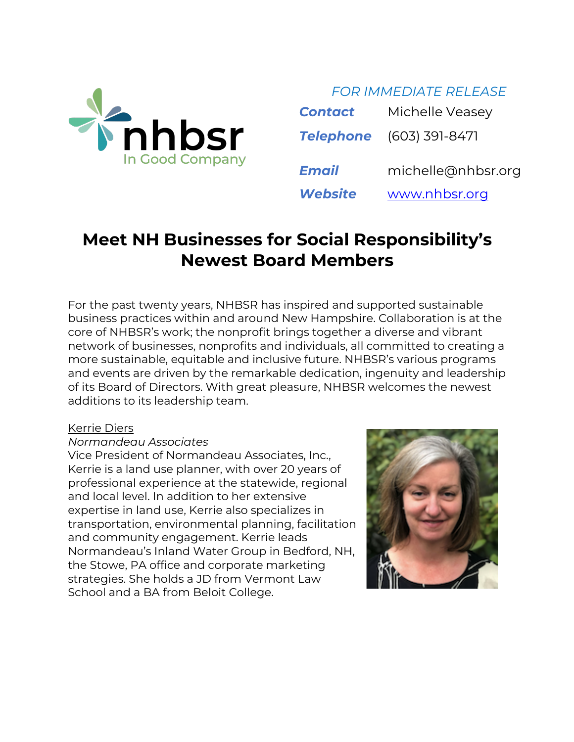

*FOR IMMEDIATE RELEASE*

| <b>Contact</b> | Michelle Veasey                 |
|----------------|---------------------------------|
|                | <b>Telephone</b> (603) 391-8471 |
| <b>Email</b>   | michelle@nhbsr.org              |
| <b>Website</b> | www.nhbsr.org                   |

# **Meet NH Businesses for Social Responsibility's Newest Board Members**

For the past twenty years, NHBSR has inspired and supported sustainable business practices within and around New Hampshire. Collaboration is at the core of NHBSR's work; the nonprofit brings together a diverse and vibrant network of businesses, nonprofits and individuals, all committed to creating a more sustainable, equitable and inclusive future. NHBSR's various programs and events are driven by the remarkable dedication, ingenuity and leadership of its Board of Directors. With great pleasure, NHBSR welcomes the newest additions to its leadership team.

#### Kerrie Diers

#### *Normandeau Associates*

Vice President of Normandeau Associates, Inc., Kerrie is a land use planner, with over 20 years of professional experience at the statewide, regional and local level. In addition to her extensive expertise in land use, Kerrie also specializes in transportation, environmental planning, facilitation and community engagement. Kerrie leads Normandeau's Inland Water Group in Bedford, NH, the Stowe, PA office and corporate marketing strategies. She holds a JD from Vermont Law School and a BA from Beloit College.